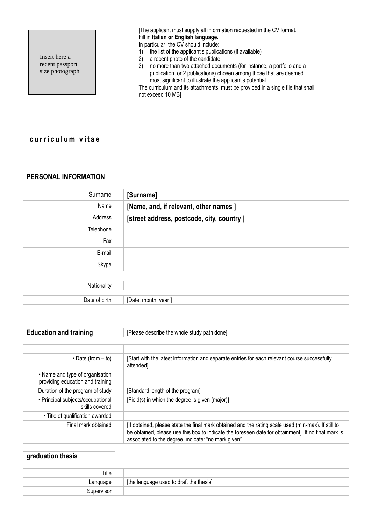Insert here a recent passport size photograph [The applicant must supply all information requested in the CV format. Fill in **Italian or English language.**

In particular, the CV should include:

- 1) the list of the applicant's publications (if available)
- 2) a recent photo of the candidate
- 3) no more than two attached documents (for instance, a portfolio and a publication, or 2 publications) chosen among those that are deemed most significant to illustrate the applicant's potential.

The curriculum and its attachments, must be provided in a single file that shall not exceed 10 MB]

## **c u r r i c u l u m v i t a e**

## **PERSONAL INFORMATION**

| Surname     | [Surname]                                  |
|-------------|--------------------------------------------|
| Name        | [Name, and, if relevant, other names]      |
| Address     | [street address, postcode, city, country ] |
| Telephone   |                                            |
| Fax         |                                            |
| E-mail      |                                            |
| Skype       |                                            |
|             |                                            |
| Nationality |                                            |

| ۰,<br>ш | ---<br>vear<br>.,<br>ш |
|---------|------------------------|
|         |                        |

| <b>Education and training</b>                                       | [Please describe the whole study path done]                                                                                                                                                                                                                        |  |  |
|---------------------------------------------------------------------|--------------------------------------------------------------------------------------------------------------------------------------------------------------------------------------------------------------------------------------------------------------------|--|--|
|                                                                     |                                                                                                                                                                                                                                                                    |  |  |
|                                                                     |                                                                                                                                                                                                                                                                    |  |  |
| $\cdot$ Date (from $-$ to)                                          | [Start with the latest information and separate entries for each relevant course successfully<br>attended]                                                                                                                                                         |  |  |
| • Name and type of organisation<br>providing education and training |                                                                                                                                                                                                                                                                    |  |  |
| Duration of the program of study                                    | [Standard length of the program]                                                                                                                                                                                                                                   |  |  |
| • Principal subjects/occupational<br>skills covered                 | [Field(s) in which the degree is given (major)]                                                                                                                                                                                                                    |  |  |
| • Title of qualification awarded                                    |                                                                                                                                                                                                                                                                    |  |  |
| Final mark obtained                                                 | [If obtained, please state the final mark obtained and the rating scale used (min-max). If still to<br>be obtained, please use this box to indicate the foreseen date for obtainment]. If no final mark is<br>associated to the degree, indicate: "no mark given". |  |  |

## **graduation thesis**

| Title     |                                                    |
|-----------|----------------------------------------------------|
| anguage   | used to draft the thesis]<br>[the<br>anrılm<br>lan |
| upervisor |                                                    |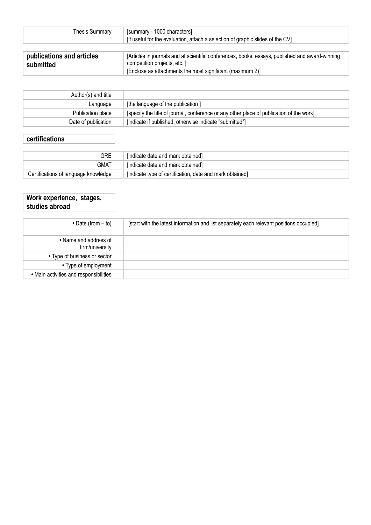| Thesis Summary                         | [summary - 1000 characters]<br>[if useful for the evaluation, attach a selection of graphic slides of the CV]                                                                                |
|----------------------------------------|----------------------------------------------------------------------------------------------------------------------------------------------------------------------------------------------|
| publications and articles<br>submitted | [Articles in journals and at scientific conferences, books, essays, published and award-winning<br>competition projects, etc. 1<br>[Enclose as attachments the most significant (maximum 2)] |

| Author(s) and title |                                                                                          |
|---------------------|------------------------------------------------------------------------------------------|
| Language            | [the language of the publication]                                                        |
| Publication place   | [specify the title of journal, conference or any other place of publication of the work] |
| Date of publication | [indicate if published, otherwise indicate "submitted"]                                  |

# **certifications**

| GRE                                  | [indicate date and mark obtained]                                     |
|--------------------------------------|-----------------------------------------------------------------------|
| gmat                                 | [indicate date and mark obtained]                                     |
| Certifications of language knowledge | <sup>1</sup> [indicate type of certification, date and mark obtained] |

#### **Work experience, stages, studies abroad**

| $\bullet$ Date (from $-$ to)             | [start with the latest information and list separately each relevant positions occupied] |
|------------------------------------------|------------------------------------------------------------------------------------------|
| • Name and address of<br>firm/university |                                                                                          |
| • Type of business or sector             |                                                                                          |
| • Type of employment                     |                                                                                          |
| • Main activities and responsibilities   |                                                                                          |